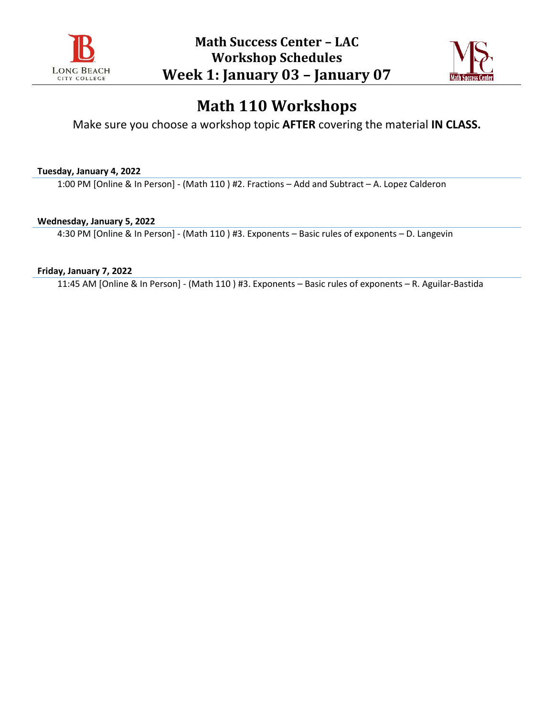



Make sure you choose a workshop topic **AFTER** covering the material **IN CLASS.**

**Tuesday, January 4, 2022**

1:00 PM [Online & In Person] - (Math 110 ) #2. Fractions – Add and Subtract – A. Lopez Calderon

**Wednesday, January 5, 2022**

4:30 PM [Online & In Person] - (Math 110 ) #3. Exponents – Basic rules of exponents – D. Langevin

**Friday, January 7, 2022**

11:45 AM [Online & In Person] - (Math 110 ) #3. Exponents – Basic rules of exponents – R. Aguilar-Bastida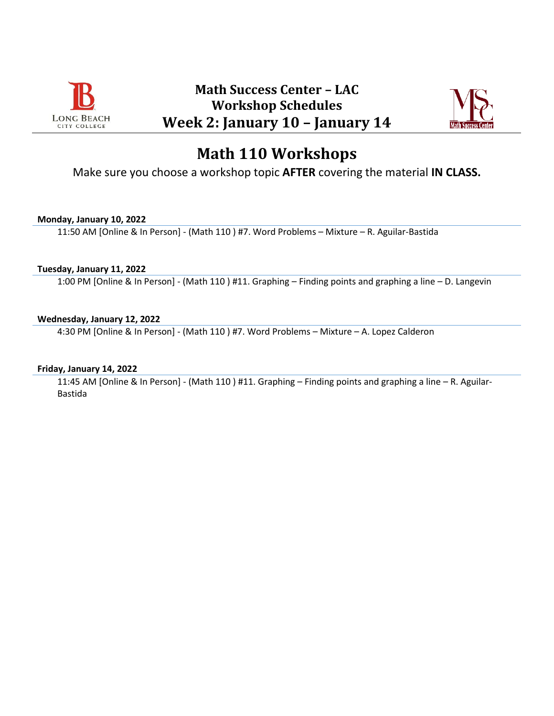



Make sure you choose a workshop topic **AFTER** covering the material **IN CLASS.**

### **Monday, January 10, 2022**

11:50 AM [Online & In Person] - (Math 110 ) #7. Word Problems – Mixture – R. Aguilar-Bastida

#### **Tuesday, January 11, 2022**

1:00 PM [Online & In Person] - (Math 110 ) #11. Graphing – Finding points and graphing a line – D. Langevin

### **Wednesday, January 12, 2022**

4:30 PM [Online & In Person] - (Math 110 ) #7. Word Problems – Mixture – A. Lopez Calderon

#### **Friday, January 14, 2022**

11:45 AM [Online & In Person] - (Math 110 ) #11. Graphing – Finding points and graphing a line – R. Aguilar-Bastida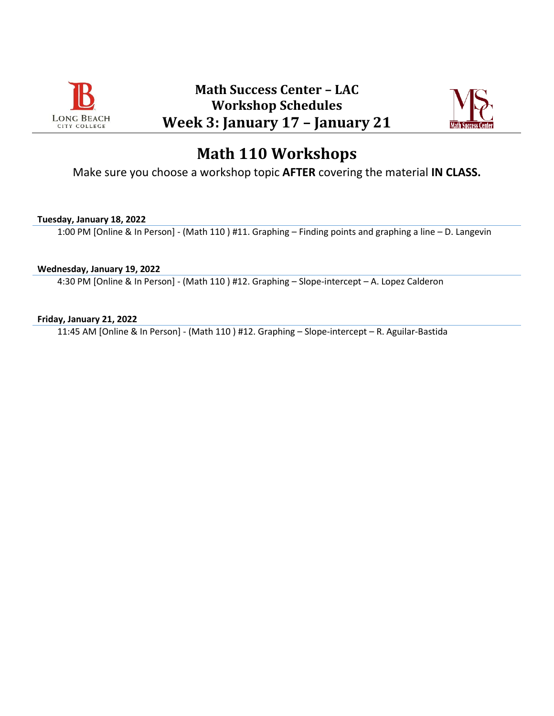



Make sure you choose a workshop topic **AFTER** covering the material **IN CLASS.**

### **Tuesday, January 18, 2022**

1:00 PM [Online & In Person] - (Math 110 ) #11. Graphing – Finding points and graphing a line – D. Langevin

### **Wednesday, January 19, 2022**

4:30 PM [Online & In Person] - (Math 110 ) #12. Graphing – Slope-intercept – A. Lopez Calderon

### **Friday, January 21, 2022**

11:45 AM [Online & In Person] - (Math 110 ) #12. Graphing – Slope-intercept – R. Aguilar-Bastida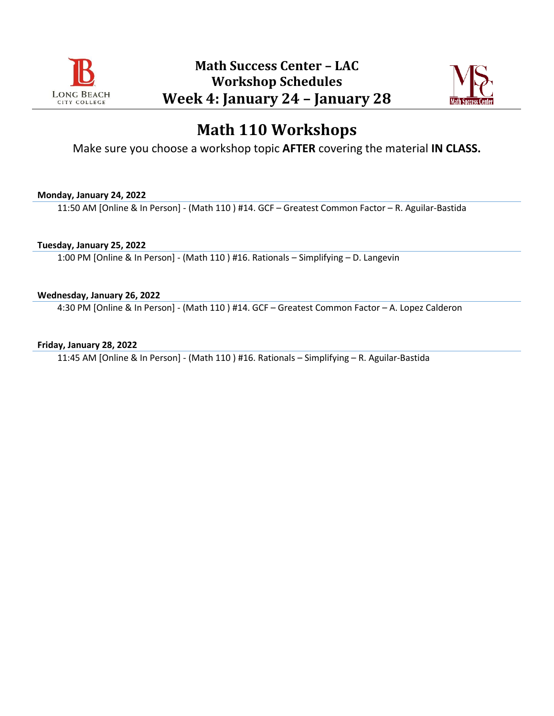



Make sure you choose a workshop topic **AFTER** covering the material **IN CLASS.**

### **Monday, January 24, 2022**

11:50 AM [Online & In Person] - (Math 110 ) #14. GCF – Greatest Common Factor – R. Aguilar-Bastida

### **Tuesday, January 25, 2022**

1:00 PM [Online & In Person] - (Math 110 ) #16. Rationals – Simplifying – D. Langevin

### **Wednesday, January 26, 2022**

4:30 PM [Online & In Person] - (Math 110 ) #14. GCF – Greatest Common Factor – A. Lopez Calderon

### **Friday, January 28, 2022**

11:45 AM [Online & In Person] - (Math 110 ) #16. Rationals – Simplifying – R. Aguilar-Bastida